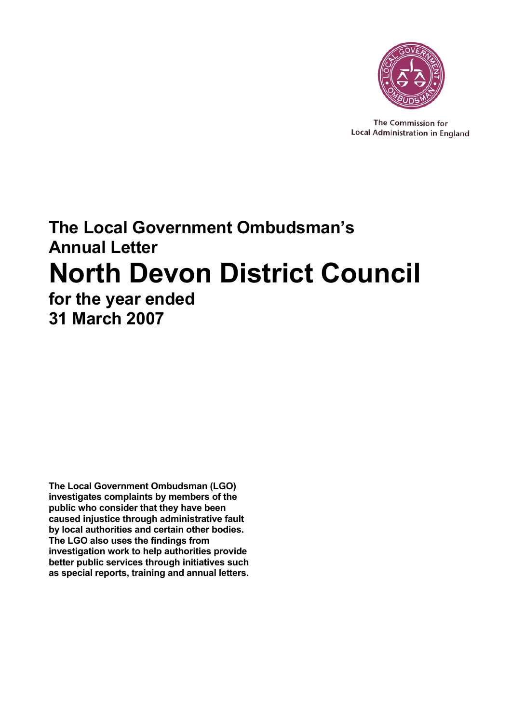

The Commission for Local Administration in England

# **The Local Government Ombudsman's Annual Letter North Devon District Council for the year ended 31 March 2007**

**The Local Government Ombudsman (LGO) investigates complaints by members of the public who consider that they have been caused injustice through administrative fault by local authorities and certain other bodies. The LGO also uses the findings from investigation work to help authorities provide better public services through initiatives such as special reports, training and annual letters.**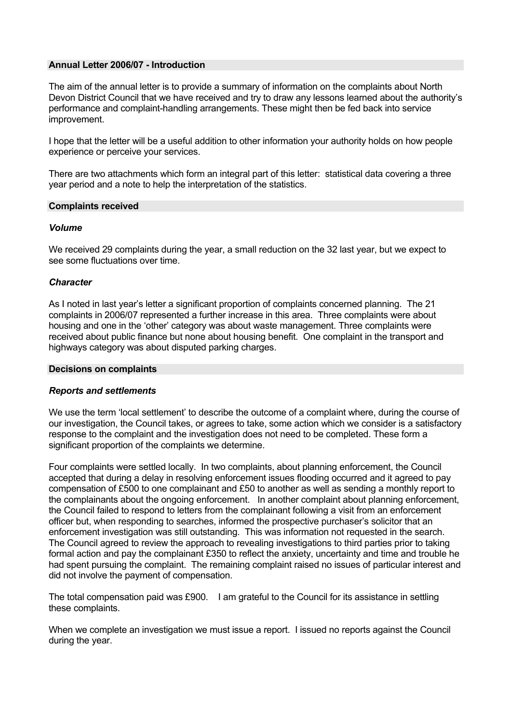## **Annual Letter 2006/07 - Introduction**

The aim of the annual letter is to provide a summary of information on the complaints about North Devon District Council that we have received and try to draw any lessons learned about the authority's performance and complaint-handling arrangements. These might then be fed back into service improvement.

I hope that the letter will be a useful addition to other information your authority holds on how people experience or perceive your services.

There are two attachments which form an integral part of this letter: statistical data covering a three year period and a note to help the interpretation of the statistics.

## **Complaints received**

## *Volume*

We received 29 complaints during the year, a small reduction on the 32 last year, but we expect to see some fluctuations over time.

#### *Character*

As I noted in last year's letter a significant proportion of complaints concerned planning. The 21 complaints in 2006/07 represented a further increase in this area. Three complaints were about housing and one in the 'other' category was about waste management. Three complaints were received about public finance but none about housing benefit. One complaint in the transport and highways category was about disputed parking charges.

#### **Decisions on complaints**

## *Reports and settlements*

We use the term 'local settlement' to describe the outcome of a complaint where, during the course of our investigation, the Council takes, or agrees to take, some action which we consider is a satisfactory response to the complaint and the investigation does not need to be completed. These form a significant proportion of the complaints we determine.

Four complaints were settled locally. In two complaints, about planning enforcement, the Council accepted that during a delay in resolving enforcement issues flooding occurred and it agreed to pay compensation of £500 to one complainant and £50 to another as well as sending a monthly report to the complainants about the ongoing enforcement. In another complaint about planning enforcement, the Council failed to respond to letters from the complainant following a visit from an enforcement officer but, when responding to searches, informed the prospective purchaser's solicitor that an enforcement investigation was still outstanding. This was information not requested in the search. The Council agreed to review the approach to revealing investigations to third parties prior to taking formal action and pay the complainant £350 to reflect the anxiety, uncertainty and time and trouble he had spent pursuing the complaint. The remaining complaint raised no issues of particular interest and did not involve the payment of compensation.

The total compensation paid was £900. I am grateful to the Council for its assistance in settling these complaints.

When we complete an investigation we must issue a report. I issued no reports against the Council during the year.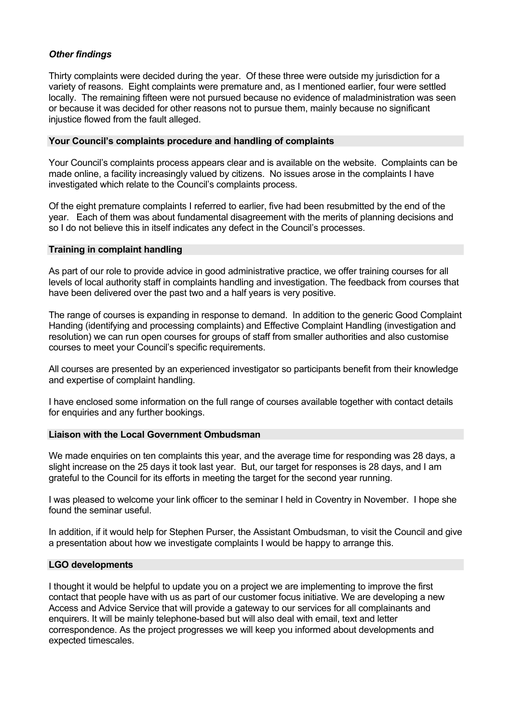# *Other findings*

Thirty complaints were decided during the year. Of these three were outside my jurisdiction for a variety of reasons. Eight complaints were premature and, as I mentioned earlier, four were settled locally. The remaining fifteen were not pursued because no evidence of maladministration was seen or because it was decided for other reasons not to pursue them, mainly because no significant injustice flowed from the fault alleged.

# **Your Council's complaints procedure and handling of complaints**

Your Council's complaints process appears clear and is available on the website. Complaints can be made online, a facility increasingly valued by citizens. No issues arose in the complaints I have investigated which relate to the Council's complaints process.

Of the eight premature complaints I referred to earlier, five had been resubmitted by the end of the year. Each of them was about fundamental disagreement with the merits of planning decisions and so I do not believe this in itself indicates any defect in the Council's processes.

# **Training in complaint handling**

As part of our role to provide advice in good administrative practice, we offer training courses for all levels of local authority staff in complaints handling and investigation. The feedback from courses that have been delivered over the past two and a half years is very positive.

The range of courses is expanding in response to demand. In addition to the generic Good Complaint Handing (identifying and processing complaints) and Effective Complaint Handling (investigation and resolution) we can run open courses for groups of staff from smaller authorities and also customise courses to meet your Council's specific requirements.

All courses are presented by an experienced investigator so participants benefit from their knowledge and expertise of complaint handling.

I have enclosed some information on the full range of courses available together with contact details for enquiries and any further bookings.

## **Liaison with the Local Government Ombudsman**

We made enquiries on ten complaints this year, and the average time for responding was 28 days, a slight increase on the 25 days it took last year. But, our target for responses is 28 days, and I am grateful to the Council for its efforts in meeting the target for the second year running.

I was pleased to welcome your link officer to the seminar I held in Coventry in November. I hope she found the seminar useful.

In addition, if it would help for Stephen Purser, the Assistant Ombudsman, to visit the Council and give a presentation about how we investigate complaints I would be happy to arrange this.

## **LGO developments**

I thought it would be helpful to update you on a project we are implementing to improve the first contact that people have with us as part of our customer focus initiative. We are developing a new Access and Advice Service that will provide a gateway to our services for all complainants and enquirers. It will be mainly telephone-based but will also deal with email, text and letter correspondence. As the project progresses we will keep you informed about developments and expected timescales.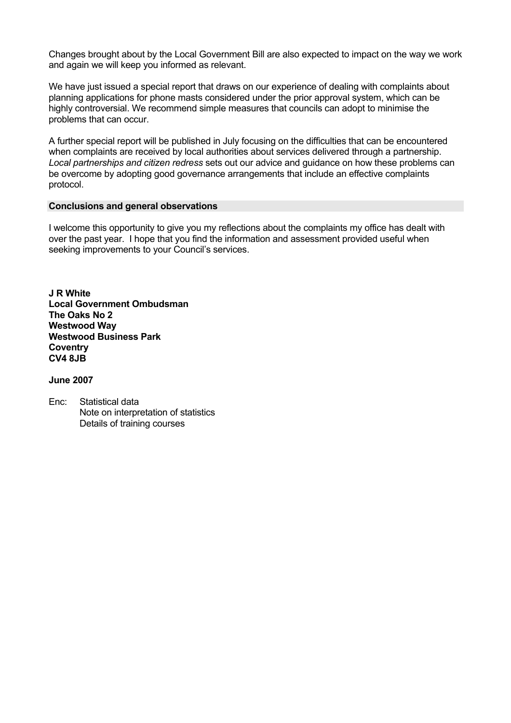Changes brought about by the Local Government Bill are also expected to impact on the way we work and again we will keep you informed as relevant.

We have just issued a special report that draws on our experience of dealing with complaints about planning applications for phone masts considered under the prior approval system, which can be highly controversial. We recommend simple measures that councils can adopt to minimise the problems that can occur.

A further special report will be published in July focusing on the difficulties that can be encountered when complaints are received by local authorities about services delivered through a partnership. *Local partnerships and citizen redress* sets out our advice and guidance on how these problems can be overcome by adopting good governance arrangements that include an effective complaints protocol.

# **Conclusions and general observations**

I welcome this opportunity to give you my reflections about the complaints my office has dealt with over the past year. I hope that you find the information and assessment provided useful when seeking improvements to your Council's services.

**J R White Local Government Ombudsman The Oaks No 2 Westwood Way Westwood Business Park Coventry CV4 8JB** 

# **June 2007**

Enc: Statistical data Note on interpretation of statistics Details of training courses